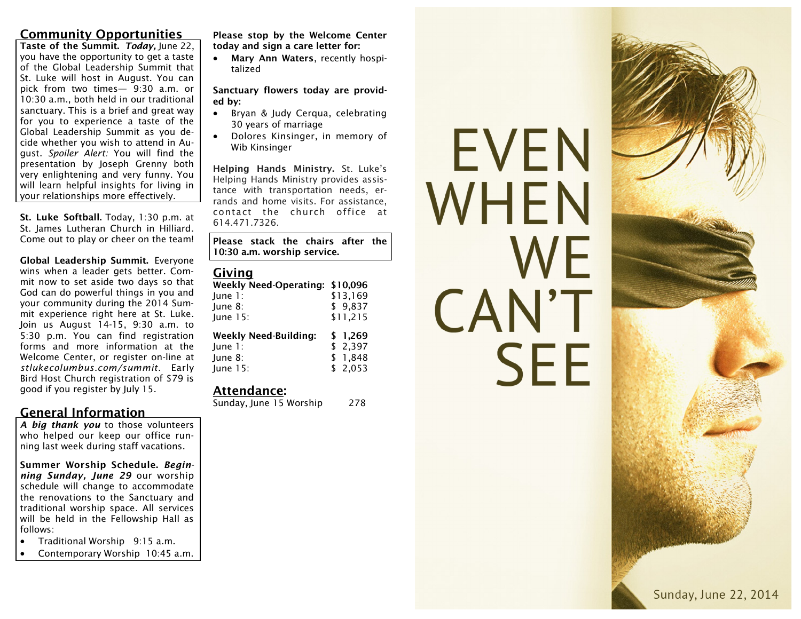# **Community Opportunities**

**Taste of the Summit.** *Today,* June 22, you have the opportunity to get a taste of the Global Leadership Summit that St. Luke will host in August. You can pick from two times— 9:30 a.m. or 10:30 a.m., both held in our traditional sanctuary. This is a brief and great way for you to experience a taste of the Global Leadership Summit as you decide whether you wish to attend in August. *Spoiler Alert:* You will find the presentation by Joseph Grenny both very enlightening and very funny. You will learn helpful insights for living in your relationships more effectively.

**St. Luke Softball.** Today, 1:30 p.m. at St. James Lutheran Church in Hilliard. Come out to play or cheer on the team!

**Global Leadership Summit.** Everyone wins when a leader gets better. Commit now to set aside two days so that God can do powerful things in you and your community during the 2014 Summit experience right here at St. Luke. Join us August 14-15, 9:30 a.m. to 5:30 p.m. You can find registration forms and more information at the Welcome Center, or register on-line at *stlukecolumbus.com/summit*. Early Bird Host Church registration of \$79 is good if you register by July 15.

#### **General Information**

*A big thank you* to those volunteers who helped our keep our office running last week during staff vacations.

**Summer Worship Schedule.** *Beginning Sunday, June 29* our worship schedule will change to accommodate the renovations to the Sanctuary and traditional worship space. All services will be held in the Fellowship Hall as follows:

- Traditional Worship 9:15 a.m.
- Contemporary Worship 10:45 a.m.

**Please stop by the Welcome Center today and sign a care letter for:**

 **Mary Ann Waters**, recently hospitalized

#### **Sanctuary flowers today are provided by:**

- Bryan & Judy Cerqua, celebrating 30 years of marriage
- Dolores Kinsinger, in memory of Wib Kinsinger

**Helping Hands Ministry.** St. Luke's Helping Hands Ministry provides assistance with transportation needs, errands and home visits. For assistance, contact the church office at 614.471.7326.

**Please stack the chairs after the 10:30 a.m. worship service.** 

#### **Giving**

| Weekly Need-Operating: \$10,096 |          |
|---------------------------------|----------|
| June $1$ :                      | \$13,169 |
| June 8:                         | \$9,837  |
| June 15:                        | \$11,215 |
|                                 |          |
| <b>Weekly Need-Building:</b>    | \$1.269  |
| June $1$ :                      | \$2,397  |
| June 8:                         | \$1,848  |

#### **Attendance:**

Sunday, June 15 Worship 278

# EVEN WHEN WF CAN'T **SEE**